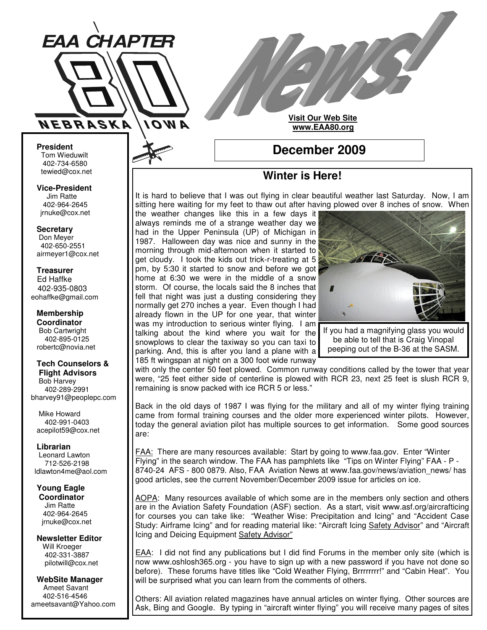

**Visit Our Web Site www.EAA80.org**

**President** Tom Wieduwilt 402-734-6580 tewied@cox.net

**Vice-President** Jim Ratte 402-964-2645 jrnuke@cox.net

**Secretary** Don Meyer 402-650-2551 airmeyer1@cox.net

**Treasurer** Ed Haffke 402-935-0803 eohaffke@gmail.com

**Membership Coordinator** Bob Cartwright 402-895-0125 robertc@novia.net

**Tech Counselors & Flight Advisors**

Bob Harvey 402-289-2991 bharvey91@peoplepc.com

Mike Howard 402-991-0403 acepilot59@cox.net

**Librarian** Leonard Lawton 712-526-2198 ldlawton4me@aol.com

**Young Eagle Coordinator** Jim Ratte 402-964-2645 jrnuke@cox.net

**Newsletter Editor** Will Kroeger 402-331-3887 pilotwill@cox.net

**WebSite Manager** Ameet Savant 402-516-4546 ameetsavant@Yahoo.com

# **December 2009**

# **Winter is Here!**

It is hard to believe that I was out flying in clear beautiful weather last Saturday. Now, I am sitting here waiting for my feet to thaw out after having plowed over 8 inches of snow. When the weather changes like this in a few days it

always reminds me of a strange weather day we had in the Upper Peninsula (UP) of Michigan in 1987. Halloween day was nice and sunny in the morning through mid-afternoon when it started to get cloudy. I took the kids out trick-r-treating at 5 pm, by 5:30 it started to snow and before we got home at 6:30 we were in the middle of a snow storm. Of course, the locals said the 8 inches that fell that night was just a dusting considering they normally get 270 inches a year. Even though I had already flown in the UP for one year, that winter was my introduction to serious winter flying. I am talking about the kind where you wait for the snowplows to clear the taxiway so you can taxi to parking. And, this is after you land a plane with a 185 ft wingspan at night on a 300 foot wide runway



If you had a magnifying glass you would be able to tell that is Craig Vinopal peeping out of the B-36 at the SASM.

with only the center 50 feet plowed. Common runway conditions called by the tower that year were, "25 feet either side of centerline is plowed with RCR 23, next 25 feet is slush RCR 9, remaining is snow packed with ice RCR 5 or less."

Back in the old days of 1987 I was flying for the military and all of my winter flying training came from formal training courses and the older more experienced winter pilots. However, today the general aviation pilot has multiple sources to get information. Some good sources are:

FAA: There are many resources available: Start by going to www.faa.gov. Enter "Winter Flying" in the search window. The FAA has pamphlets like "Tips on Winter Flying" FAA - P - 8740-24 AFS - 800 0879, Also, FAA Aviation News at www.faa.gov/news/aviation\_news/ has good articles, see the current November/December 2009 issue for articles on ice.

AOPA: Many resources available of which some are in the members only section and others are in the Aviation Safety Foundation (ASF) section. As a start, visit www.asf.org/aircrafticing for courses you can take like: "Weather Wise: Precipitation and Icing" and "Accident Case Study: Airframe Icing" and for reading material like: "Aircraft Icing Safety Advisor" and "Aircraft Icing and Deicing Equipment Safety Advisor"

EAA: I did not find any publications but I did find Forums in the member only site (which is now www.oshlosh365.org - you have to sign up with a new password if you have not done so before). These forums have titles like "Cold Weather Flying, Brrrrrrrr!" and "Cabin Heat". You will be surprised what you can learn from the comments of others.

Others: All aviation related magazines have annual articles on winter flying. Other sources are Ask, Bing and Google. By typing in "aircraft winter flying" you will receive many pages of sites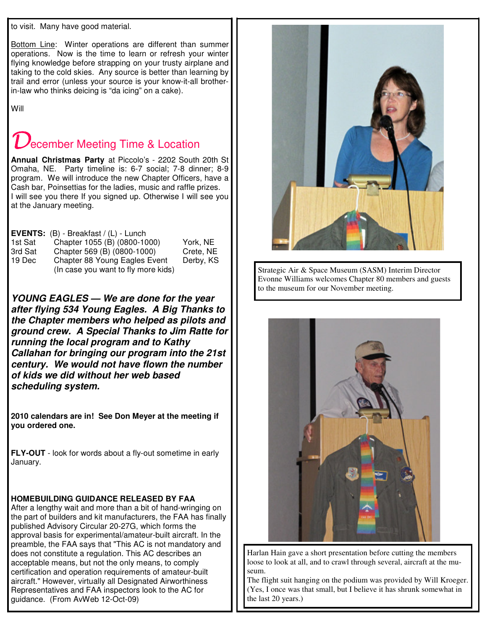to visit. Many have good material.

Bottom Line: Winter operations are different than summer operations. Now is the time to learn or refresh your winter flying knowledge before strapping on your trusty airplane and taking to the cold skies. Any source is better than learning by trail and error (unless your source is your know-it-all brotherin-law who thinks deicing is "da icing" on a cake).

Will

# **Jecember Meeting Time & Location**

**Annual Christmas Party** at Piccolo's - 2202 South 20th St Omaha, NE. Party timeline is: 6-7 social; 7-8 dinner; 8-9 program. We will introduce the new Chapter Officers, have a Cash bar, Poinsettias for the ladies, music and raffle prizes. I will see you there If you signed up. Otherwise I will see you at the January meeting.

|         | <b>EVENTS:</b> $(B)$ - Breakfast $/(L)$ - Lunch |           |
|---------|-------------------------------------------------|-----------|
| 1st Sat | Chapter 1055 (B) (0800-1000)                    | York, NE  |
| 3rd Sat | Chapter 569 (B) (0800-1000)                     | Crete, NE |
| 19 Dec  | Chapter 88 Young Eagles Event                   | Derby, KS |
|         | (In case you want to fly more kids)             |           |

*YOUNG EAGLES — We are done for the year after flying 534 Young Eagles. A Big Thanks to the Chapter members who helped as pilots and ground crew. A Special Thanks to Jim Ratte for running the local program and to Kathy Callahan for bringing our program into the 21st century. We would not have flown the number of kids we did without her web based scheduling system.*

**2010 calendars are in! See Don Meyer at the meeting if you ordered one.**

**FLY-OUT** - look for words about a fly-out sometime in early January.

### **HOMEBUILDING GUIDANCE RELEASED BY FAA**

After a lengthy wait and more than a bit of hand-wringing on the part of builders and kit manufacturers, the FAA has finally published Advisory Circular 20-27G, which forms the approval basis for experimental/amateur-built aircraft. In the preamble, the FAA says that "This AC is not mandatory and does not constitute a regulation. This AC describes an acceptable means, but not the only means, to comply certification and operation requirements of amateur-built aircraft." However, virtually all Designated Airworthiness Representatives and FAA inspectors look to the AC for guidance. (From AvWeb 12-Oct-09)



Strategic Air & Space Museum (SASM) Interim Director Evonne Williams welcomes Chapter 80 members and guests to the museum for our November meeting.



Harlan Hain gave a short presentation before cutting the members loose to look at all, and to crawl through several, aircraft at the museum.

The flight suit hanging on the podium was provided by Will Kroeger. (Yes, I once was that small, but I believe it has shrunk somewhat in the last 20 years.)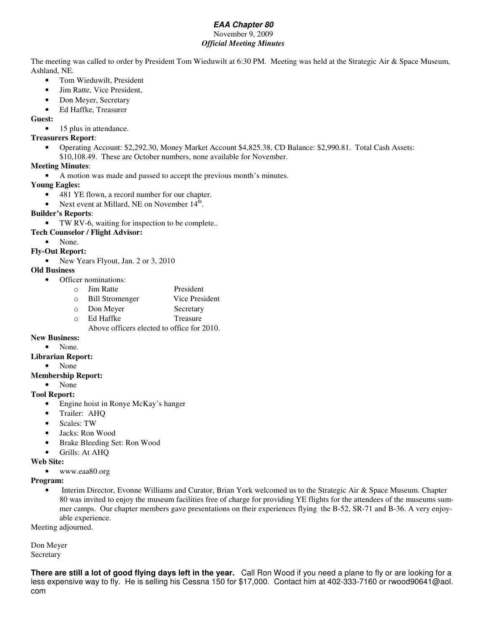## *EAA Chapter 80*

#### November 9, 2009 *Official Meeting Minutes*

The meeting was called to order by President Tom Wieduwilt at 6:30 PM. Meeting was held at the Strategic Air & Space Museum, Ashland, NE.

- Tom Wieduwilt, President
- Jim Ratte, Vice President,
- Don Meyer, Secretary
- Ed Haffke, Treasurer

**Guest:**

• 15 plus in attendance.

#### **Treasurers Report**:

- Operating Account: \$2,292.30, Money Market Account \$4,825.38, CD Balance: \$2,990.81. Total Cash Assets:
- \$10,108.49. These are October numbers, none available for November.

#### **Meeting Minutes**:

• A motion was made and passed to accept the previous month's minutes.

#### **Young Eagles:**

- 481 YE flown, a record number for our chapter.
- Next event at Millard, NE on November 14<sup>th</sup>.

#### **Builder's Reports**:

- TW RV-6, waiting for inspection to be complete..
- **Tech Counselor / Flight Advisor:**
	- None.

#### **Fly-Out Report:**

• New Years Flyout, Jan. 2 or 3, 2010

#### **Old Business**

- Officer nominations:
	- o Jim Ratte President
	- o Bill Stromenger Vice President
	- o Don Meyer Secretary
	- o Ed Haffke Treasure

Above officers elected to office for 2010.

#### **New Business:**

• None.

#### **Librarian Report:**

• None

#### **Membership Report:**

• None

#### **Tool Report:**

- Engine hoist in Ronye McKay's hanger
- Trailer: AHQ
- Scales: TW
- Jacks: Ron Wood
- Brake Bleeding Set: Ron Wood
- Grills: At AHQ

#### **Web Site:**

• www.eaa80.org

#### **Program:**

• Interim Director, Evonne Williams and Curator, Brian York welcomed us to the Strategic Air & Space Museum. Chapter 80 was invited to enjoy the museum facilities free of charge for providing YE flights for the attendees of the museums summer camps. Our chapter members gave presentations on their experiences flying the B-52, SR-71 and B-36. A very enjoyable experience.

Meeting adjourned.

Don Meyer Secretary

**There are still a lot of good flying days left in the year.** Call Ron Wood if you need a plane to fly or are looking for a less expensive way to fly. He is selling his Cessna 150 for \$17,000. Contact him at 402-333-7160 or rwood90641@aol. com